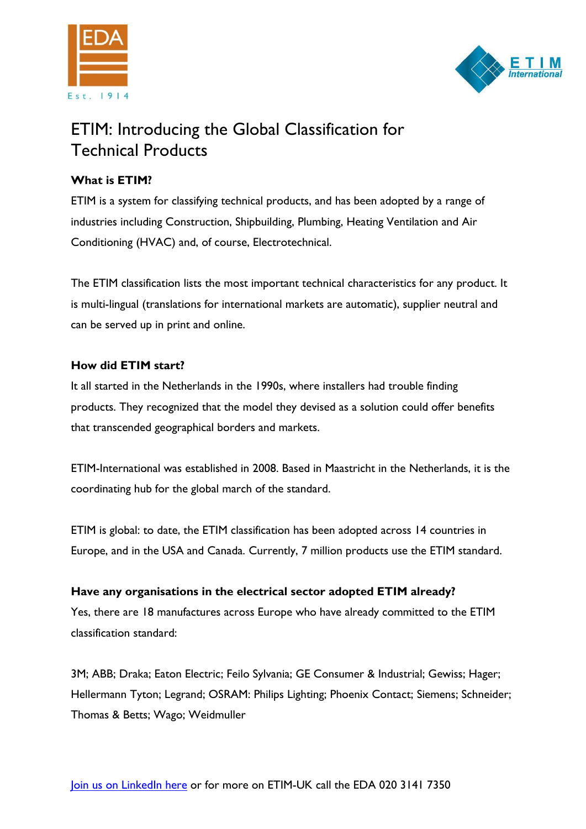



# ETIM: Introducing the Global Classification for Technical Products

# **What is ETIM?**

ETIM is a system for classifying technical products, and has been adopted by a range of industries including Construction, Shipbuilding, Plumbing, Heating Ventilation and Air Conditioning (HVAC) and, of course, Electrotechnical.

The ETIM classification lists the most important technical characteristics for any product. It is multi-lingual (translations for international markets are automatic), supplier neutral and can be served up in print and online.

# **How did ETIM start?**

It all started in the Netherlands in the 1990s, where installers had trouble finding products. They recognized that the model they devised as a solution could offer benefits that transcended geographical borders and markets.

ETIM-International was established in 2008. Based in Maastricht in the Netherlands, it is the coordinating hub for the global march of the standard.

ETIM is global: to date, the ETIM classification has been adopted across 14 countries in Europe, and in the USA and Canada. Currently, 7 million products use the ETIM standard.

# **Have any organisations in the electrical sector adopted ETIM already?**

Yes, there are 18 manufactures across Europe who have already committed to the ETIM classification standard:

3M; ABB; Draka; Eaton Electric; Feilo Sylvania; GE Consumer & Industrial; Gewiss; Hager; Hellermann Tyton; Legrand; OSRAM: Philips Lighting; Phoenix Contact; Siemens; Schneider; Thomas & Betts; Wago; Weidmuller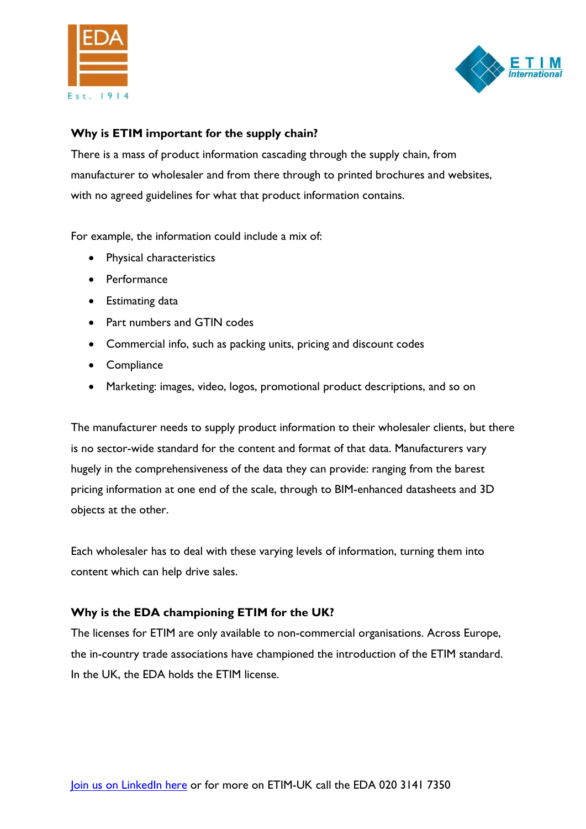



#### **Why is ETIM important for the supply chain?**

There is a mass of product information cascading through the supply chain, from manufacturer to wholesaler and from there through to printed brochures and websites, with no agreed guidelines for what that product information contains.

For example, the information could include a mix of:

- Physical characteristics
- Performance
- Estimating data
- Part numbers and GTIN codes
- Commercial info, such as packing units, pricing and discount codes
- Compliance
- Marketing: images, video, logos, promotional product descriptions, and so on

The manufacturer needs to supply product information to their wholesaler clients, but there is no sector-wide standard for the content and format of that data. Manufacturers vary hugely in the comprehensiveness of the data they can provide: ranging from the barest pricing information at one end of the scale, through to BIM-enhanced datasheets and 3D objects at the other.

Each wholesaler has to deal with these varying levels of information, turning them into content which can help drive sales.

#### **Why is the EDA championing ETIM for the UK?**

The licenses for ETIM are only available to non-commercial organisations. Across Europe, the in-country trade associations have championed the introduction of the ETIM standard. In the UK, the EDA holds the ETIM license.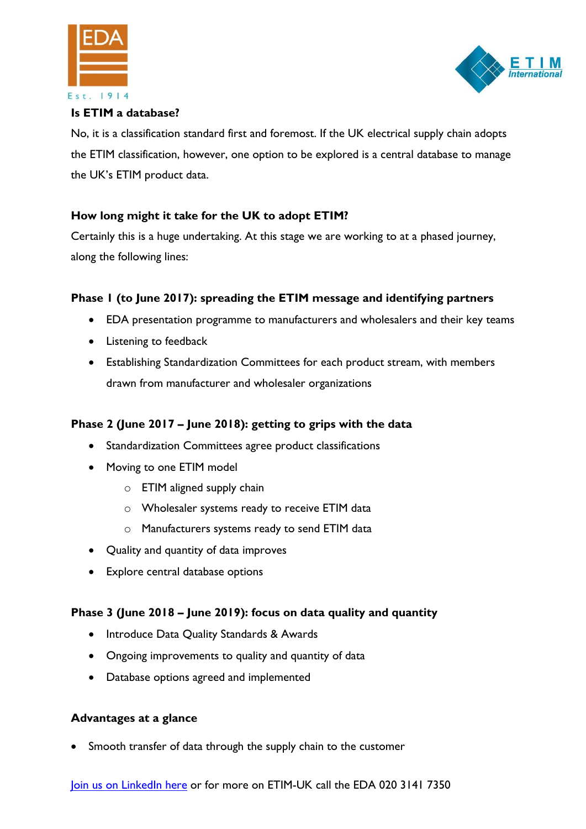



#### **Is ETIM a database?**

No, it is a classification standard first and foremost. If the UK electrical supply chain adopts the ETIM classification, however, one option to be explored is a central database to manage the UK's ETIM product data.

# **How long might it take for the UK to adopt ETIM?**

Certainly this is a huge undertaking. At this stage we are working to at a phased journey, along the following lines:

# **Phase 1 (to June 2017): spreading the ETIM message and identifying partners**

- EDA presentation programme to manufacturers and wholesalers and their key teams
- Listening to feedback
- Establishing Standardization Committees for each product stream, with members drawn from manufacturer and wholesaler organizations

# **Phase 2 (June 2017 – June 2018): getting to grips with the data**

- Standardization Committees agree product classifications
- Moving to one ETIM model
	- o ETIM aligned supply chain
	- o Wholesaler systems ready to receive ETIM data
	- o Manufacturers systems ready to send ETIM data
- Quality and quantity of data improves
- Explore central database options

# **Phase 3 (June 2018 – June 2019): focus on data quality and quantity**

- Introduce Data Quality Standards & Awards
- Ongoing improvements to quality and quantity of data
- Database options agreed and implemented

#### **Advantages at a glance**

Smooth transfer of data through the supply chain to the customer

[Join us on LinkedIn here](https://www.linkedin.com/showcase/11056375) or for more on ETIM-UK call the EDA 020 3141 7350